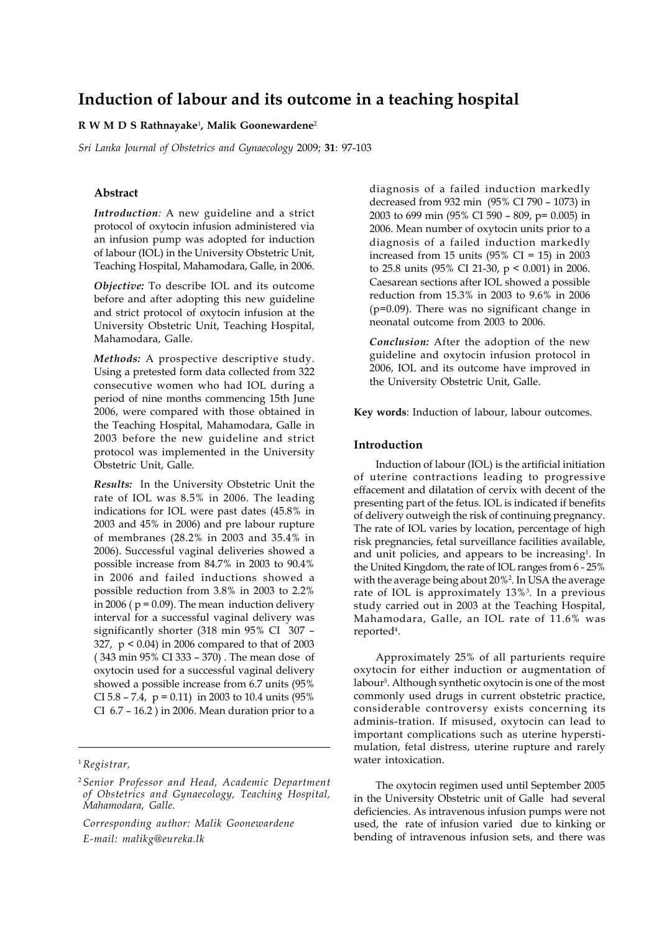# **Induction of labour and its outcome in a teaching hospital**

# **R W M D S Rathnayake**<sup>1</sup> **, Malik Goonewardene**<sup>2</sup>

*Sri Lanka Journal of Obstetrics and Gynaecology* 2009; **31**: 97-103

# **Abstract**

*Introduction:* A new guideline and a strict protocol of oxytocin infusion administered via an infusion pump was adopted for induction of labour (IOL) in the University Obstetric Unit, Teaching Hospital, Mahamodara, Galle, in 2006.

*Objective:* To describe IOL and its outcome before and after adopting this new guideline and strict protocol of oxytocin infusion at the University Obstetric Unit, Teaching Hospital, Mahamodara, Galle.

*Methods:* A prospective descriptive study. Using a pretested form data collected from 322 consecutive women who had IOL during a period of nine months commencing 15th June 2006, were compared with those obtained in the Teaching Hospital, Mahamodara, Galle in 2003 before the new guideline and strict protocol was implemented in the University Obstetric Unit, Galle.

*Results:* In the University Obstetric Unit the rate of IOL was 8.5% in 2006. The leading indications for IOL were past dates (45.8% in 2003 and 45% in 2006) and pre labour rupture of membranes (28.2% in 2003 and 35.4% in 2006). Successful vaginal deliveries showed a possible increase from 84.7% in 2003 to 90.4% in 2006 and failed inductions showed a possible reduction from 3.8% in 2003 to 2.2% in 2006 ( $p = 0.09$ ). The mean induction delivery interval for a successful vaginal delivery was significantly shorter (318 min 95% CI 307 – 327, p < 0.04) in 2006 compared to that of 2003 ( 343 min 95% CI 333 – 370) . The mean dose of oxytocin used for a successful vaginal delivery showed a possible increase from 6.7 units (95% CI  $5.8 - 7.4$ ,  $p = 0.11$ ) in 2003 to 10.4 units (95%) CI 6.7 – 16.2 ) in 2006. Mean duration prior to a

<sup>1</sup>*Registrar,*

*Corresponding author: Malik Goonewardene E-mail: malikg@eureka.lk*

diagnosis of a failed induction markedly decreased from 932 min (95% CI 790 – 1073) in 2003 to 699 min (95% CI 590 – 809, p= 0.005) in 2006. Mean number of oxytocin units prior to a diagnosis of a failed induction markedly increased from 15 units  $(95\% \text{ CI} = 15)$  in 2003 to 25.8 units (95% CI 21-30, p < 0.001) in 2006. Caesarean sections after IOL showed a possible reduction from 15.3% in 2003 to 9.6% in 2006 (p=0.09). There was no significant change in neonatal outcome from 2003 to 2006.

*Conclusion:* After the adoption of the new guideline and oxytocin infusion protocol in 2006, IOL and its outcome have improved in the University Obstetric Unit, Galle.

**Key words**: Induction of labour, labour outcomes.

#### **Introduction**

Induction of labour (IOL) is the artificial initiation of uterine contractions leading to progressive effacement and dilatation of cervix with decent of the presenting part of the fetus. IOL is indicated if benefits of delivery outweigh the risk of continuing pregnancy. The rate of IOL varies by location, percentage of high risk pregnancies, fetal surveillance facilities available, and unit policies, and appears to be increasing<sup>1</sup>. In the United Kingdom, the rate of IOL ranges from 6 - 25% with the average being about 20%2 . In USA the average rate of IOL is approximately 13%3 . In a previous study carried out in 2003 at the Teaching Hospital, Mahamodara, Galle, an IOL rate of 11.6% was reported<sup>4</sup>.

Approximately 25% of all parturients require oxytocin for either induction or augmentation of labour5 . Although synthetic oxytocin is one of the most commonly used drugs in current obstetric practice, considerable controversy exists concerning its adminis-tration. If misused, oxytocin can lead to important complications such as uterine hyperstimulation, fetal distress, uterine rupture and rarely water intoxication.

The oxytocin regimen used until September 2005 in the University Obstetric unit of Galle had several deficiencies. As intravenous infusion pumps were not used, the rate of infusion varied due to kinking or bending of intravenous infusion sets, and there was

<sup>2</sup> *Senior Professor and Head, Academic Department of Obstetrics and Gynaecology, Teaching Hospital, Mahamodara, Galle.*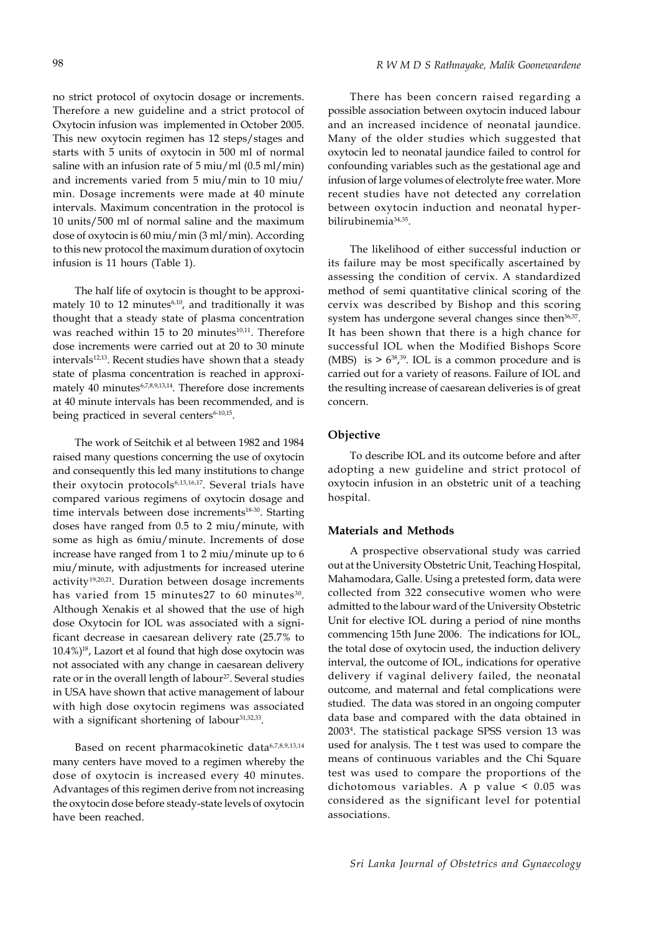no strict protocol of oxytocin dosage or increments. Therefore a new guideline and a strict protocol of Oxytocin infusion was implemented in October 2005. This new oxytocin regimen has 12 steps/stages and starts with 5 units of oxytocin in 500 ml of normal saline with an infusion rate of 5 miu/ml (0.5 ml/min) and increments varied from 5 miu/min to 10 miu/ min. Dosage increments were made at 40 minute intervals. Maximum concentration in the protocol is 10 units/500 ml of normal saline and the maximum dose of oxytocin is 60 miu/min (3 ml/min). According

The half life of oxytocin is thought to be approximately 10 to 12 minutes $6,10$ , and traditionally it was thought that a steady state of plasma concentration was reached within 15 to 20 minutes $10,11$ . Therefore dose increments were carried out at 20 to 30 minute intervals<sup>12,13</sup>. Recent studies have shown that a steady state of plasma concentration is reached in approximately 40 minutes6,7,8,9,13,14. Therefore dose increments at 40 minute intervals has been recommended, and is being practiced in several centers<sup>6-10,15</sup>.

to this new protocol the maximum duration of oxytocin

infusion is 11 hours (Table 1).

The work of Seitchik et al between 1982 and 1984 raised many questions concerning the use of oxytocin and consequently this led many institutions to change their oxytocin protocols<sup>6,13,16,17</sup>. Several trials have compared various regimens of oxytocin dosage and time intervals between dose increments<sup>18-30</sup>. Starting doses have ranged from 0.5 to 2 miu/minute, with some as high as 6miu/minute. Increments of dose increase have ranged from 1 to 2 miu/minute up to 6 miu/minute, with adjustments for increased uterine activity<sup>19,20,21</sup>. Duration between dosage increments has varied from 15 minutes27 to 60 minutes<sup>30</sup>. Although Xenakis et al showed that the use of high dose Oxytocin for IOL was associated with a significant decrease in caesarean delivery rate (25.7% to  $10.4\%$ <sup>18</sup>, Lazort et al found that high dose oxytocin was not associated with any change in caesarean delivery rate or in the overall length of labour<sup>27</sup>. Several studies in USA have shown that active management of labour with high dose oxytocin regimens was associated with a significant shortening of labour<sup>31,32,33</sup>.

Based on recent pharmacokinetic data6,7,8,9,13,14 many centers have moved to a regimen whereby the dose of oxytocin is increased every 40 minutes. Advantages of this regimen derive from not increasing the oxytocin dose before steady-state levels of oxytocin have been reached.

There has been concern raised regarding a possible association between oxytocin induced labour and an increased incidence of neonatal jaundice. Many of the older studies which suggested that oxytocin led to neonatal jaundice failed to control for confounding variables such as the gestational age and infusion of large volumes of electrolyte free water. More recent studies have not detected any correlation between oxytocin induction and neonatal hyperbilirubinemia34,35.

The likelihood of either successful induction or its failure may be most specifically ascertained by assessing the condition of cervix. A standardized method of semi quantitative clinical scoring of the cervix was described by Bishop and this scoring system has undergone several changes since then<sup>36,37</sup>. It has been shown that there is a high chance for successful IOL when the Modified Bishops Score (MBS) is  $> 6^{38},^{39}$ . IOL is a common procedure and is carried out for a variety of reasons. Failure of IOL and the resulting increase of caesarean deliveries is of great concern.

### **Objective**

To describe IOL and its outcome before and after adopting a new guideline and strict protocol of oxytocin infusion in an obstetric unit of a teaching hospital.

### **Materials and Methods**

A prospective observational study was carried out at the University Obstetric Unit, Teaching Hospital, Mahamodara, Galle. Using a pretested form, data were collected from 322 consecutive women who were admitted to the labour ward of the University Obstetric Unit for elective IOL during a period of nine months commencing 15th June 2006. The indications for IOL, the total dose of oxytocin used, the induction delivery interval, the outcome of IOL, indications for operative delivery if vaginal delivery failed, the neonatal outcome, and maternal and fetal complications were studied. The data was stored in an ongoing computer data base and compared with the data obtained in 20034 . The statistical package SPSS version 13 was used for analysis. The t test was used to compare the means of continuous variables and the Chi Square test was used to compare the proportions of the dichotomous variables. A p value < 0.05 was considered as the significant level for potential associations.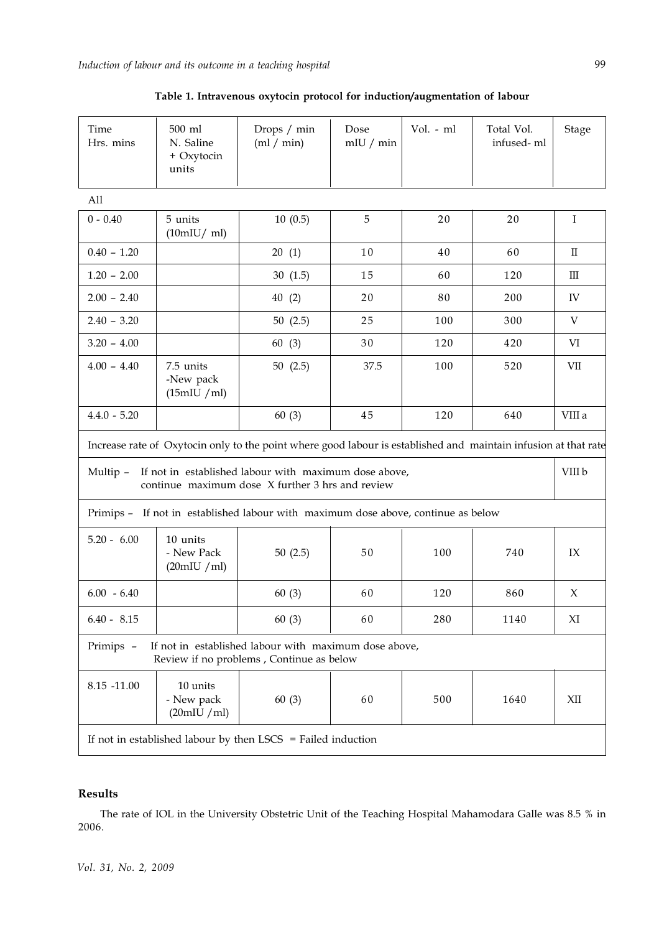| Time<br>Hrs. mins                                                                                                     | 500 ml<br>N. Saline<br>+ Oxytocin<br>units | Drops / min<br>(ml / min)                                                                                       | Dose<br>mIU / min | Vol. - ml | Total Vol.<br>infused-ml | Stage        |
|-----------------------------------------------------------------------------------------------------------------------|--------------------------------------------|-----------------------------------------------------------------------------------------------------------------|-------------------|-----------|--------------------------|--------------|
| All                                                                                                                   |                                            |                                                                                                                 |                   |           |                          |              |
| $0 - 0.40$                                                                                                            | 5 units<br>(10mIU/ml)                      | 10(0.5)                                                                                                         | 5                 | 20        | 20                       | $\bf{I}$     |
| $0.40 - 1.20$                                                                                                         |                                            | 20(1)                                                                                                           | 10                | 40        | 60                       | $\mathbf{I}$ |
| $1.20 - 2.00$                                                                                                         |                                            | 30(1.5)                                                                                                         | 15                | 60        | 120                      | Ш            |
| $2.00 - 2.40$                                                                                                         |                                            | 40(2)                                                                                                           | 20                | 80        | 200                      | IV           |
| $2.40 - 3.20$                                                                                                         |                                            | 50(2.5)                                                                                                         | 25                | 100       | 300                      | V            |
| $3.20 - 4.00$                                                                                                         |                                            | 60 (3)                                                                                                          | 30                | 120       | 420                      | VI           |
| $4.00 - 4.40$                                                                                                         | 7.5 units<br>-New pack<br>(15mIU / ml)     | 50 $(2.5)$                                                                                                      | 37.5              | 100       | 520                      | VII          |
| $4.4.0 - 5.20$                                                                                                        |                                            | 60(3)                                                                                                           | 45                | 120       | 640                      | VIII a       |
|                                                                                                                       |                                            | Increase rate of Oxytocin only to the point where good labour is established and maintain infusion at that rate |                   |           |                          |              |
| If not in established labour with maximum dose above,<br>Multip -<br>continue maximum dose X further 3 hrs and review |                                            |                                                                                                                 |                   |           | VIII b                   |              |
|                                                                                                                       |                                            | Primips - If not in established labour with maximum dose above, continue as below                               |                   |           |                          |              |
| $5.20 - 6.00$                                                                                                         | 10 units<br>- New Pack<br>(20mIU /ml)      | 50(2.5)                                                                                                         | 50                | 100       | 740                      | IX           |
| $6.00 - 6.40$                                                                                                         |                                            | 60(3)                                                                                                           | 60                | 120       | 860                      | X            |
| $6.40 - 8.15$                                                                                                         |                                            | 60(3)                                                                                                           | 60                | 280       | 1140                     | XI           |
| Primips -                                                                                                             |                                            | If not in established labour with maximum dose above,<br>Review if no problems, Continue as below               |                   |           |                          |              |
| 8.15 -11.00                                                                                                           | 10 units<br>- New pack<br>(20mIU /ml)      | 60(3)                                                                                                           | 60                | 500       | 1640                     | XII          |
| If not in established labour by then LSCS = Failed induction                                                          |                                            |                                                                                                                 |                   |           |                          |              |

# **Table 1. Intravenous oxytocin protocol for induction/augmentation of labour**

# **Results**

The rate of IOL in the University Obstetric Unit of the Teaching Hospital Mahamodara Galle was 8.5 % in 2006.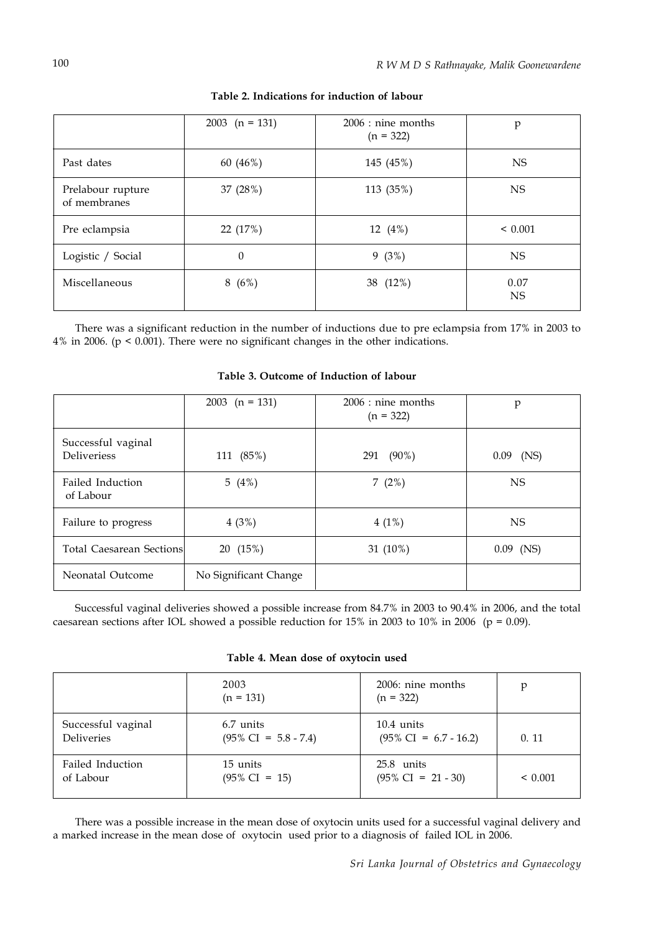|                                   | 2003 $(n = 131)$ | $2006:$ nine months<br>$(n = 322)$ | p                 |
|-----------------------------------|------------------|------------------------------------|-------------------|
| Past dates                        | 60 (46%)         | 145 (45%)                          | <b>NS</b>         |
| Prelabour rupture<br>of membranes | 37 (28%)         | 113 (35%)                          | <b>NS</b>         |
| Pre eclampsia                     | 22 (17%)         | 12 (4%)                            | ${}< 0.001$       |
| Logistic / Social                 | $\theta$         | 9(3%)                              | <b>NS</b>         |
| Miscellaneous                     | 8(6%)            | 38 (12%)                           | 0.07<br><b>NS</b> |

**Table 2. Indications for induction of labour**

There was a significant reduction in the number of inductions due to pre eclampsia from 17% in 2003 to 4% in 2006. (p < 0.001). There were no significant changes in the other indications.

|                                          | 2003 $(n = 131)$      | $2006:$ nine months<br>$(n = 322)$ | p           |
|------------------------------------------|-----------------------|------------------------------------|-------------|
| Successful vaginal<br><b>Deliveriess</b> | 111 (85%)             | $(90\%)$<br>291                    | $0.09$ (NS) |
| Failed Induction<br>of Labour            | 5 $(4%)$              | 7 $(2%)$                           | <b>NS</b>   |
| Failure to progress                      | 4(3%)                 | $4(1\%)$                           | <b>NS</b>   |
| <b>Total Caesarean Sections</b>          | 20 (15%)              | 31 (10%)                           | $0.09$ (NS) |
| Neonatal Outcome                         | No Significant Change |                                    |             |

**Table 3. Outcome of Induction of labour**

Successful vaginal deliveries showed a possible increase from 84.7% in 2003 to 90.4% in 2006, and the total caesarean sections after IOL showed a possible reduction for 15% in 2003 to 10% in 2006 ( $p = 0.09$ ).

**Table 4. Mean dose of oxytocin used**

|                    | 2003<br>$(n = 131)$             | 2006: nine months<br>$(n = 322)$ | p       |
|--------------------|---------------------------------|----------------------------------|---------|
| Successful vaginal | 6.7 units                       | $10.4 \text{ units}$             | 0.11    |
| <b>Deliveries</b>  | $(95\% \text{ CI} = 5.8 - 7.4)$ | $(95\% \text{ CI} = 6.7 - 16.2)$ |         |
| Failed Induction   | 15 units                        | 25.8 units                       | < 0.001 |
| of Labour          | $(95\% \text{ CI} = 15)$        | $(95\% \text{ CI} = 21 - 30)$    |         |

There was a possible increase in the mean dose of oxytocin units used for a successful vaginal delivery and a marked increase in the mean dose of oxytocin used prior to a diagnosis of failed IOL in 2006.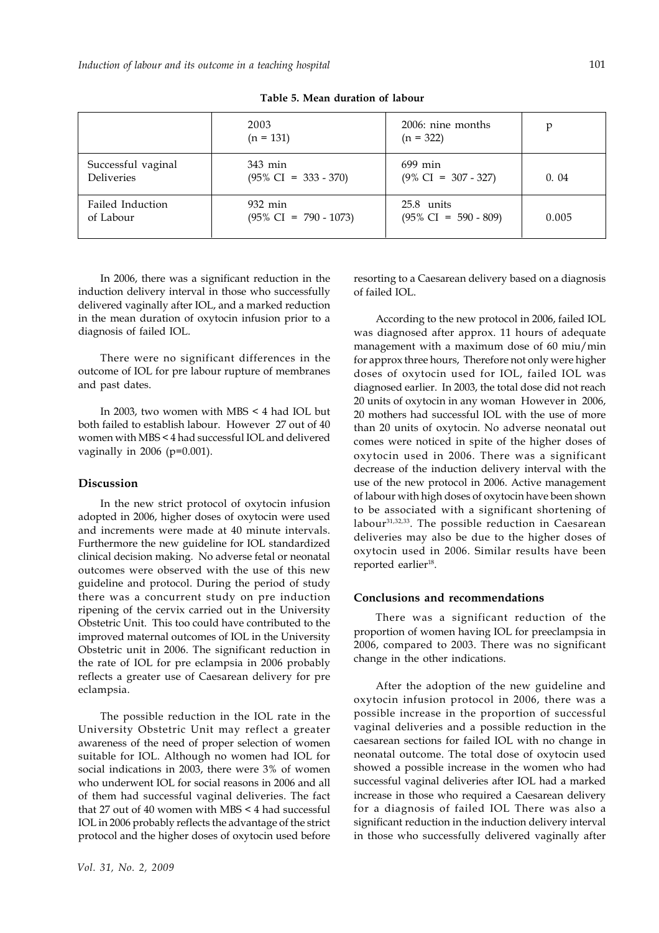|                    | 2003<br>$(n = 131)$              | 2006: nine months<br>$(n = 322)$ | p     |
|--------------------|----------------------------------|----------------------------------|-------|
| Successful vaginal | 343 min                          | $699$ min                        | 0.04  |
| <b>Deliveries</b>  | $(95\% \text{ CI} = 333 - 370)$  | $(9\% \text{ CI} = 307 - 327)$   |       |
| Failed Induction   | 932 min                          | 25.8 units                       | 0.005 |
| of Labour          | $(95\% \text{ CI} = 790 - 1073)$ | $(95\% \text{ CI} = 590 - 809)$  |       |

**Table 5. Mean duration of labour**

In 2006, there was a significant reduction in the induction delivery interval in those who successfully delivered vaginally after IOL, and a marked reduction in the mean duration of oxytocin infusion prior to a diagnosis of failed IOL.

There were no significant differences in the outcome of IOL for pre labour rupture of membranes and past dates.

In 2003, two women with MBS < 4 had IOL but both failed to establish labour. However 27 out of 40 women with MBS < 4 had successful IOL and delivered vaginally in 2006 (p=0.001).

### **Discussion**

In the new strict protocol of oxytocin infusion adopted in 2006, higher doses of oxytocin were used and increments were made at 40 minute intervals. Furthermore the new guideline for IOL standardized clinical decision making. No adverse fetal or neonatal outcomes were observed with the use of this new guideline and protocol. During the period of study there was a concurrent study on pre induction ripening of the cervix carried out in the University Obstetric Unit. This too could have contributed to the improved maternal outcomes of IOL in the University Obstetric unit in 2006. The significant reduction in the rate of IOL for pre eclampsia in 2006 probably reflects a greater use of Caesarean delivery for pre eclampsia.

The possible reduction in the IOL rate in the University Obstetric Unit may reflect a greater awareness of the need of proper selection of women suitable for IOL. Although no women had IOL for social indications in 2003, there were 3% of women who underwent IOL for social reasons in 2006 and all of them had successful vaginal deliveries. The fact that 27 out of 40 women with MBS < 4 had successful IOL in 2006 probably reflects the advantage of the strict protocol and the higher doses of oxytocin used before

*Vol. 31, No. 2, 2009*

resorting to a Caesarean delivery based on a diagnosis of failed IOL.

According to the new protocol in 2006, failed IOL was diagnosed after approx. 11 hours of adequate management with a maximum dose of 60 miu/min for approx three hours, Therefore not only were higher doses of oxytocin used for IOL, failed IOL was diagnosed earlier. In 2003, the total dose did not reach 20 units of oxytocin in any woman However in 2006, 20 mothers had successful IOL with the use of more than 20 units of oxytocin. No adverse neonatal out comes were noticed in spite of the higher doses of oxytocin used in 2006. There was a significant decrease of the induction delivery interval with the use of the new protocol in 2006. Active management of labour with high doses of oxytocin have been shown to be associated with a significant shortening of labour31,32,33. The possible reduction in Caesarean deliveries may also be due to the higher doses of oxytocin used in 2006. Similar results have been reported earlier<sup>18</sup>.

#### **Conclusions and recommendations**

There was a significant reduction of the proportion of women having IOL for preeclampsia in 2006, compared to 2003. There was no significant change in the other indications.

After the adoption of the new guideline and oxytocin infusion protocol in 2006, there was a possible increase in the proportion of successful vaginal deliveries and a possible reduction in the caesarean sections for failed IOL with no change in neonatal outcome. The total dose of oxytocin used showed a possible increase in the women who had successful vaginal deliveries after IOL had a marked increase in those who required a Caesarean delivery for a diagnosis of failed IOL There was also a significant reduction in the induction delivery interval in those who successfully delivered vaginally after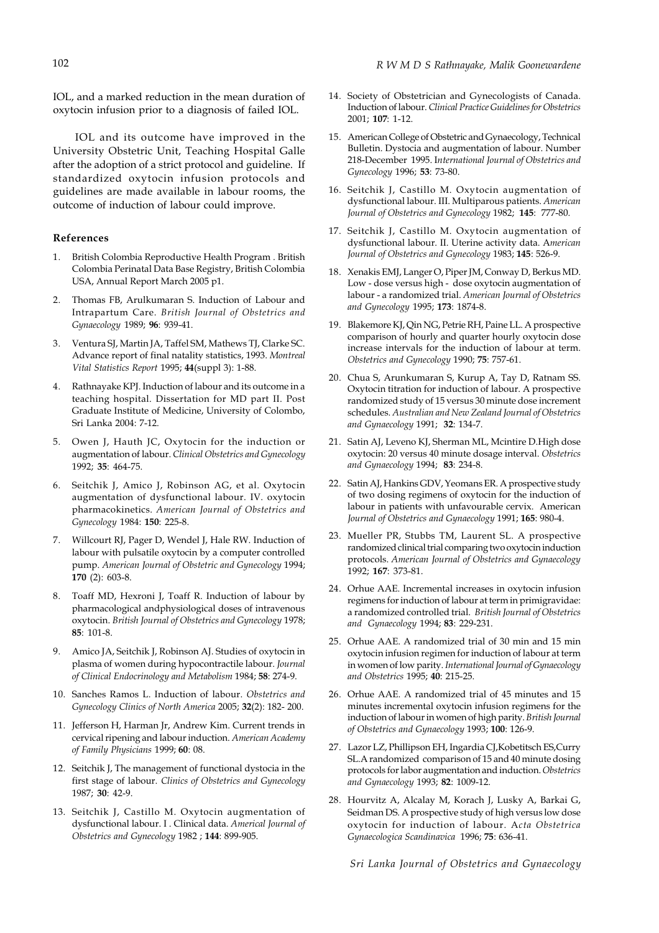IOL, and a marked reduction in the mean duration of oxytocin infusion prior to a diagnosis of failed IOL.

IOL and its outcome have improved in the University Obstetric Unit, Teaching Hospital Galle after the adoption of a strict protocol and guideline. If standardized oxytocin infusion protocols and guidelines are made available in labour rooms, the outcome of induction of labour could improve.

### **References**

- 1. British Colombia Reproductive Health Program . British Colombia Perinatal Data Base Registry, British Colombia USA, Annual Report March 2005 p1.
- 2. Thomas FB, Arulkumaran S. Induction of Labour and Intrapartum Care. *British Journal of Obstetrics and Gynaecology* 1989; **96**: 939-41.
- 3. Ventura SJ, Martin JA, Taffel SM, Mathews TJ, Clarke SC. Advance report of final natality statistics, 1993. *Montreal Vital Statistics Report* 1995; **44**(suppl 3): 1-88.
- 4. Rathnayake KPJ. Induction of labour and its outcome in a teaching hospital. Dissertation for MD part II. Post Graduate Institute of Medicine, University of Colombo, Sri Lanka 2004: 7-12.
- 5. Owen J, Hauth JC, Oxytocin for the induction or augmentation of labour. *Clinical Obstetrics and Gynecology* 1992; **35**: 464-75.
- 6. Seitchik J, Amico J, Robinson AG, et al. Oxytocin augmentation of dysfunctional labour. IV. oxytocin pharmacokinetics. *American Journal of Obstetrics and Gynecology* 1984: **150**: 225-8.
- 7. Willcourt RJ, Pager D, Wendel J, Hale RW. Induction of labour with pulsatile oxytocin by a computer controlled pump. *American Journal of Obstetric and Gynecology* 1994; **170** (2): 603-8.
- 8. Toaff MD, Hexroni J, Toaff R. Induction of labour by pharmacological andphysiological doses of intravenous oxytocin. *British Journal of Obstetrics and Gynecology* 1978; **85**: 101-8.
- 9. Amico JA, Seitchik J, Robinson AJ. Studies of oxytocin in plasma of women during hypocontractile labour. *Journal of Clinical Endocrinology and Metabolism* 1984; **58**: 274-9.
- 10. Sanches Ramos L. Induction of labour. *Obstetrics and Gynecology Clinics of North America* 2005; **32**(2): 182- 200.
- 11. Jefferson H, Harman Jr, Andrew Kim. Current trends in cervical ripening and labour induction. *American Academy of Family Physicians* 1999; **60**: 08.
- 12. Seitchik J, The management of functional dystocia in the first stage of labour. *Clinics of Obstetrics and Gynecology* 1987; **30**: 42-9.
- 13. Seitchik J, Castillo M. Oxytocin augmentation of dysfunctional labour. I . Clinical data. *Americal Journal of Obstetrics and Gynecology* 1982 ; **144**: 899-905.
- 14. Society of Obstetrician and Gynecologists of Canada. Induction of labour. *Clinical Practice Guidelines for Obstetrics* 2001; **107**: 1-12.
- 15. American College of Obstetric and Gynaecology, Technical Bulletin. Dystocia and augmentation of labour. Number 218-December 1995. I*nternational Journal of Obstetrics and Gynecology* 1996; **53**: 73-80.
- 16. Seitchik J, Castillo M. Oxytocin augmentation of dysfunctional labour. III. Multiparous patients. *American Journal of Obstetrics and Gynecology* 1982; **145**: 777-80.
- 17. Seitchik J, Castillo M. Oxytocin augmentation of dysfunctional labour. II. Uterine activity data. A*merican Journal of Obstetrics and Gynecology* 1983; **145**: 526-9.
- 18. Xenakis EMJ, Langer O, Piper JM, Conway D, Berkus MD. Low - dose versus high - dose oxytocin augmentation of labour - a randomized trial. *American Journal of Obstetrics and Gynecology* 1995; **173**: 1874-8.
- 19. Blakemore KJ, Qin NG, Petrie RH, Paine LL. A prospective comparison of hourly and quarter hourly oxytocin dose increase intervals for the induction of labour at term. *Obstetrics and Gynecology* 1990; **75**: 757-61.
- 20. Chua S, Arunkumaran S, Kurup A, Tay D, Ratnam SS. Oxytocin titration for induction of labour. A prospective randomized study of 15 versus 30 minute dose increment schedules. *Australian and New Zealand Journal of Obstetrics and Gynaecology* 1991; **32**: 134-7.
- 21. Satin AJ, Leveno KJ, Sherman ML, Mcintire D.High dose oxytocin: 20 versus 40 minute dosage interval. *Obstetrics and Gynaecology* 1994; **83**: 234-8.
- 22. Satin AJ, Hankins GDV, Yeomans ER. A prospective study of two dosing regimens of oxytocin for the induction of labour in patients with unfavourable cervix. American *Journal of Obstetrics and Gynaecology* 1991; **165**: 980-4.
- 23. Mueller PR, Stubbs TM, Laurent SL. A prospective randomized clinical trial comparing two oxytocin induction protocols. *American Journal of Obstetrics and Gynaecology* 1992; **167**: 373-81.
- 24. Orhue AAE. Incremental increases in oxytocin infusion regimens for induction of labour at term in primigravidae: a randomized controlled trial. *British Journal of Obstetrics and Gynaecology* 1994; **83**: 229-231.
- 25. Orhue AAE. A randomized trial of 30 min and 15 min oxytocin infusion regimen for induction of labour at term in women of low parity. *International Journal of Gynaecology and Obstetrics* 1995; **40**: 215-25.
- 26. Orhue AAE. A randomized trial of 45 minutes and 15 minutes incremental oxytocin infusion regimens for the induction of labour in women of high parity. *British Journal of Obstetrics and Gynaecology* 1993; **100**: 126-9.
- 27. Lazor LZ, Phillipson EH, Ingardia CJ,Kobetitsch ES,Curry SL.A randomized comparison of 15 and 40 minute dosing protocols for labor augmentation and induction. *Obstetrics and Gynaecology* 1993; **82**: 1009-12.
- 28. Hourvitz A, Alcalay M, Korach J, Lusky A, Barkai G, Seidman DS. A prospective study of high versus low dose oxytocin for induction of labour. A*cta Obstetrica Gynaecologica Scandinavica* 1996; **75**: 636-41.

*Sri Lanka Journal of Obstetrics and Gynaecology*